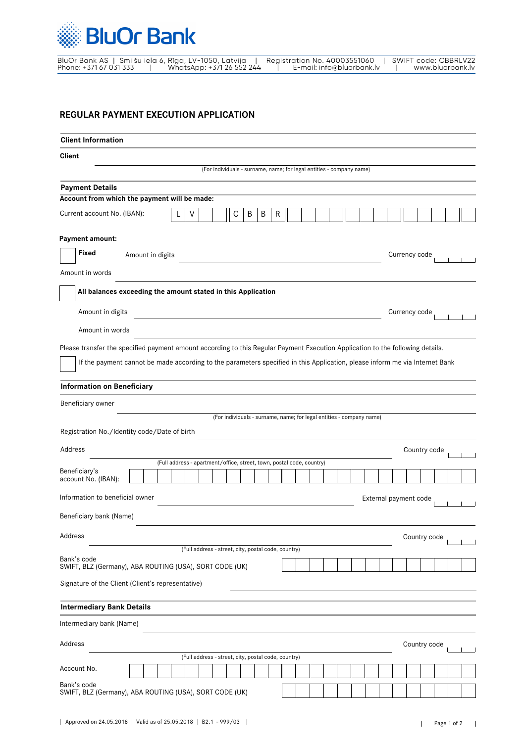

|                        | BluOr Bank AS   Smilšu iela 6, Rīga, LV-1050, Latvija | Reaistration No. 40003551060 | SWIFT code: CBBRLV22 |
|------------------------|-------------------------------------------------------|------------------------------|----------------------|
| Phone: +371 67 031 333 | WhatsApp: +371 26 552 244                             | E-mail: info@bluorbank.lv    | www.bluorbank.lv     |

## **REGULAR PAYMENT EXECUTION APPLICATION**

| <b>Client Information</b>                                                                                                      |                  |                                                                       |                                                                      |   |   |   |  |  |  |                       |              |  |  |
|--------------------------------------------------------------------------------------------------------------------------------|------------------|-----------------------------------------------------------------------|----------------------------------------------------------------------|---|---|---|--|--|--|-----------------------|--------------|--|--|
| <b>Client</b>                                                                                                                  |                  |                                                                       |                                                                      |   |   |   |  |  |  |                       |              |  |  |
|                                                                                                                                |                  |                                                                       | (For individuals - surname, name; for legal entities - company name) |   |   |   |  |  |  |                       |              |  |  |
| <b>Payment Details</b>                                                                                                         |                  |                                                                       |                                                                      |   |   |   |  |  |  |                       |              |  |  |
| Account from which the payment will be made:                                                                                   |                  |                                                                       |                                                                      |   |   |   |  |  |  |                       |              |  |  |
| Current account No. (IBAN):                                                                                                    |                  | V                                                                     | С                                                                    | B | B | R |  |  |  |                       |              |  |  |
| Payment amount:                                                                                                                |                  |                                                                       |                                                                      |   |   |   |  |  |  |                       |              |  |  |
| Fixed                                                                                                                          | Amount in digits |                                                                       |                                                                      |   |   |   |  |  |  | Currency code         |              |  |  |
| Amount in words                                                                                                                |                  |                                                                       |                                                                      |   |   |   |  |  |  |                       |              |  |  |
| All balances exceeding the amount stated in this Application                                                                   |                  |                                                                       |                                                                      |   |   |   |  |  |  |                       |              |  |  |
| Amount in digits                                                                                                               |                  |                                                                       |                                                                      |   |   |   |  |  |  | Currency code         |              |  |  |
| Amount in words                                                                                                                |                  |                                                                       |                                                                      |   |   |   |  |  |  |                       |              |  |  |
| Please transfer the specified payment amount according to this Regular Payment Execution Application to the following details. |                  |                                                                       |                                                                      |   |   |   |  |  |  |                       |              |  |  |
| If the payment cannot be made according to the parameters specified in this Application, please inform me via Internet Bank    |                  |                                                                       |                                                                      |   |   |   |  |  |  |                       |              |  |  |
| <b>Information on Beneficiary</b>                                                                                              |                  |                                                                       |                                                                      |   |   |   |  |  |  |                       |              |  |  |
| Beneficiary owner                                                                                                              |                  |                                                                       |                                                                      |   |   |   |  |  |  |                       |              |  |  |
|                                                                                                                                |                  |                                                                       | (For individuals - surname, name; for legal entities - company name) |   |   |   |  |  |  |                       |              |  |  |
| Registration No./Identity code/Date of birth                                                                                   |                  |                                                                       |                                                                      |   |   |   |  |  |  |                       |              |  |  |
| Address                                                                                                                        |                  |                                                                       |                                                                      |   |   |   |  |  |  |                       | Country code |  |  |
| Beneficiary's                                                                                                                  |                  | (Full address - apartment/office, street, town, postal code, country) |                                                                      |   |   |   |  |  |  |                       |              |  |  |
| account No. (IBAN):                                                                                                            |                  |                                                                       |                                                                      |   |   |   |  |  |  |                       |              |  |  |
| Information to beneficial owner                                                                                                |                  |                                                                       |                                                                      |   |   |   |  |  |  | External payment code |              |  |  |
| Beneficiary bank (Name)                                                                                                        |                  |                                                                       |                                                                      |   |   |   |  |  |  |                       |              |  |  |
| Address                                                                                                                        |                  |                                                                       |                                                                      |   |   |   |  |  |  |                       | Country code |  |  |
|                                                                                                                                |                  | (Full address - street, city, postal code, country)                   |                                                                      |   |   |   |  |  |  |                       |              |  |  |
| Bank's code<br>SWIFT, BLZ (Germany), ABA ROUTING (USA), SORT CODE (UK)                                                         |                  |                                                                       |                                                                      |   |   |   |  |  |  |                       |              |  |  |
| Signature of the Client (Client's representative)                                                                              |                  |                                                                       |                                                                      |   |   |   |  |  |  |                       |              |  |  |
| <b>Intermediary Bank Details</b>                                                                                               |                  |                                                                       |                                                                      |   |   |   |  |  |  |                       |              |  |  |
| Intermediary bank (Name)                                                                                                       |                  |                                                                       |                                                                      |   |   |   |  |  |  |                       |              |  |  |
| Address                                                                                                                        |                  |                                                                       |                                                                      |   |   |   |  |  |  |                       | Country code |  |  |
|                                                                                                                                |                  | (Full address - street, city, postal code, country)                   |                                                                      |   |   |   |  |  |  |                       |              |  |  |
| Account No.                                                                                                                    |                  |                                                                       |                                                                      |   |   |   |  |  |  |                       |              |  |  |
| Bank's code<br>SWIFT, BLZ (Germany), ABA ROUTING (USA), SORT CODE (UK)                                                         |                  |                                                                       |                                                                      |   |   |   |  |  |  |                       |              |  |  |
|                                                                                                                                |                  |                                                                       |                                                                      |   |   |   |  |  |  |                       |              |  |  |